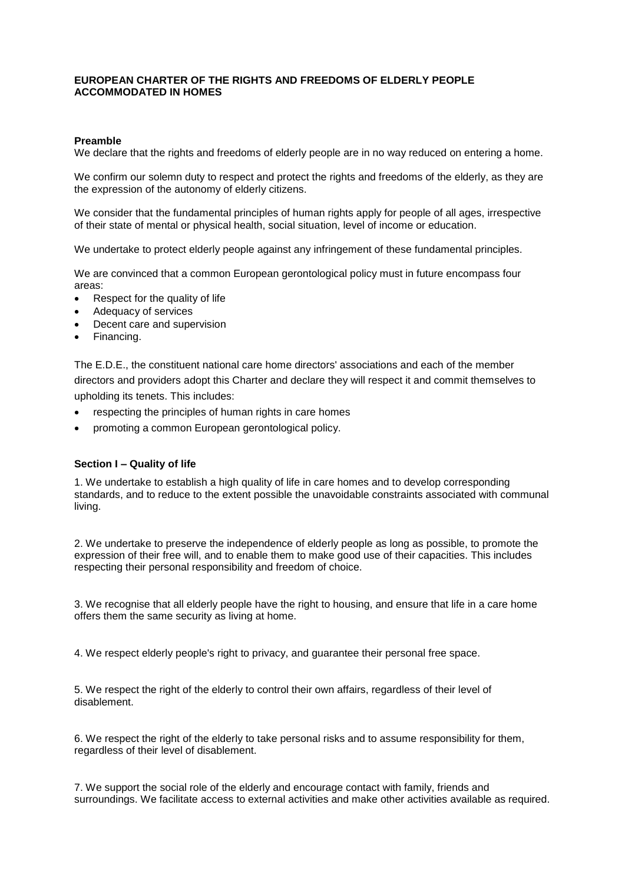# **EUROPEAN CHARTER OF THE RIGHTS AND FREEDOMS OF ELDERLY PEOPLE ACCOMMODATED IN HOMES**

### **Preamble**

We declare that the rights and freedoms of elderly people are in no way reduced on entering a home.

We confirm our solemn duty to respect and protect the rights and freedoms of the elderly, as they are the expression of the autonomy of elderly citizens.

We consider that the fundamental principles of human rights apply for people of all ages, irrespective of their state of mental or physical health, social situation, level of income or education.

We undertake to protect elderly people against any infringement of these fundamental principles.

We are convinced that a common European gerontological policy must in future encompass four areas:

- Respect for the quality of life
- Adequacy of services
- Decent care and supervision
- Financing.

The E.D.E., the constituent national care home directors' associations and each of the member directors and providers adopt this Charter and declare they will respect it and commit themselves to upholding its tenets. This includes:

- respecting the principles of human rights in care homes
- promoting a common European gerontological policy.

### **Section I – Quality of life**

1. We undertake to establish a high quality of life in care homes and to develop corresponding standards, and to reduce to the extent possible the unavoidable constraints associated with communal living.

2. We undertake to preserve the independence of elderly people as long as possible, to promote the expression of their free will, and to enable them to make good use of their capacities. This includes respecting their personal responsibility and freedom of choice.

3. We recognise that all elderly people have the right to housing, and ensure that life in a care home offers them the same security as living at home.

4. We respect elderly people's right to privacy, and guarantee their personal free space.

5. We respect the right of the elderly to control their own affairs, regardless of their level of disablement.

6. We respect the right of the elderly to take personal risks and to assume responsibility for them, regardless of their level of disablement.

7. We support the social role of the elderly and encourage contact with family, friends and surroundings. We facilitate access to external activities and make other activities available as required.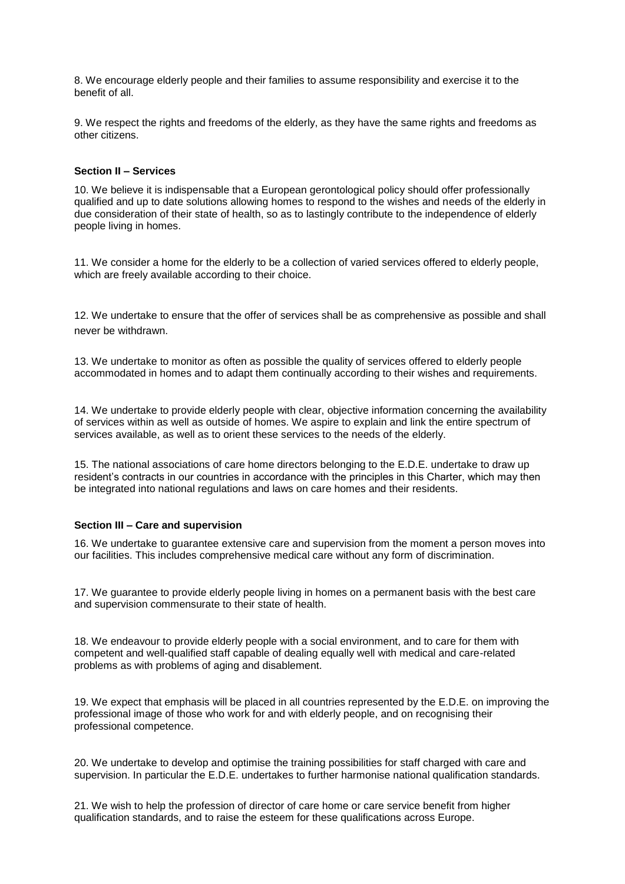8. We encourage elderly people and their families to assume responsibility and exercise it to the benefit of all.

9. We respect the rights and freedoms of the elderly, as they have the same rights and freedoms as other citizens.

#### **Section II – Services**

10. We believe it is indispensable that a European gerontological policy should offer professionally qualified and up to date solutions allowing homes to respond to the wishes and needs of the elderly in due consideration of their state of health, so as to lastingly contribute to the independence of elderly people living in homes.

11. We consider a home for the elderly to be a collection of varied services offered to elderly people, which are freely available according to their choice.

12. We undertake to ensure that the offer of services shall be as comprehensive as possible and shall never be withdrawn.

13. We undertake to monitor as often as possible the quality of services offered to elderly people accommodated in homes and to adapt them continually according to their wishes and requirements.

14. We undertake to provide elderly people with clear, objective information concerning the availability of services within as well as outside of homes. We aspire to explain and link the entire spectrum of services available, as well as to orient these services to the needs of the elderly.

15. The national associations of care home directors belonging to the E.D.E. undertake to draw up resident's contracts in our countries in accordance with the principles in this Charter, which may then be integrated into national regulations and laws on care homes and their residents.

# **Section III – Care and supervision**

16. We undertake to guarantee extensive care and supervision from the moment a person moves into our facilities. This includes comprehensive medical care without any form of discrimination.

17. We guarantee to provide elderly people living in homes on a permanent basis with the best care and supervision commensurate to their state of health.

18. We endeavour to provide elderly people with a social environment, and to care for them with competent and well-qualified staff capable of dealing equally well with medical and care-related problems as with problems of aging and disablement.

19. We expect that emphasis will be placed in all countries represented by the E.D.E. on improving the professional image of those who work for and with elderly people, and on recognising their professional competence.

20. We undertake to develop and optimise the training possibilities for staff charged with care and supervision. In particular the E.D.E. undertakes to further harmonise national qualification standards.

21. We wish to help the profession of director of care home or care service benefit from higher qualification standards, and to raise the esteem for these qualifications across Europe.